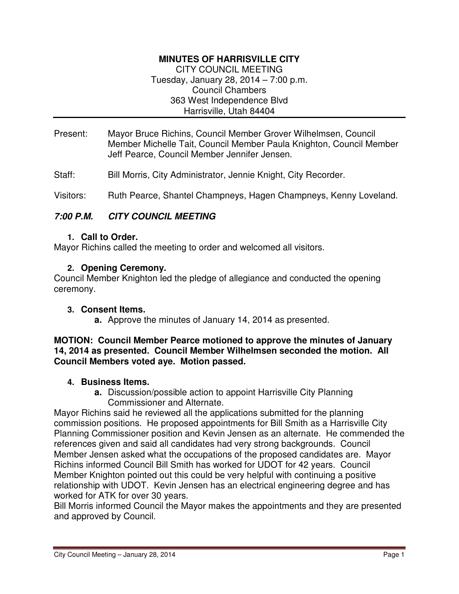# **MINUTES OF HARRISVILLE CITY**

CITY COUNCIL MEETING Tuesday, January 28, 2014 – 7:00 p.m. Council Chambers 363 West Independence Blvd Harrisville, Utah 84404

- Present: Mayor Bruce Richins, Council Member Grover Wilhelmsen, Council Member Michelle Tait, Council Member Paula Knighton, Council Member Jeff Pearce, Council Member Jennifer Jensen.
- Staff: Bill Morris, City Administrator, Jennie Knight, City Recorder.

Visitors: Ruth Pearce, Shantel Champneys, Hagen Champneys, Kenny Loveland.

### **7:00 P.M. CITY COUNCIL MEETING**

#### **1. Call to Order.**

Mayor Richins called the meeting to order and welcomed all visitors.

### **2. Opening Ceremony.**

Council Member Knighton led the pledge of allegiance and conducted the opening ceremony.

#### **3. Consent Items.**

**a.** Approve the minutes of January 14, 2014 as presented.

#### **MOTION: Council Member Pearce motioned to approve the minutes of January 14, 2014 as presented. Council Member Wilhelmsen seconded the motion. All Council Members voted aye. Motion passed.**

#### **4. Business Items.**

**a.** Discussion/possible action to appoint Harrisville City Planning Commissioner and Alternate.

Mayor Richins said he reviewed all the applications submitted for the planning commission positions. He proposed appointments for Bill Smith as a Harrisville City Planning Commissioner position and Kevin Jensen as an alternate. He commended the references given and said all candidates had very strong backgrounds. Council Member Jensen asked what the occupations of the proposed candidates are. Mayor Richins informed Council Bill Smith has worked for UDOT for 42 years. Council Member Knighton pointed out this could be very helpful with continuing a positive relationship with UDOT. Kevin Jensen has an electrical engineering degree and has worked for ATK for over 30 years.

Bill Morris informed Council the Mayor makes the appointments and they are presented and approved by Council.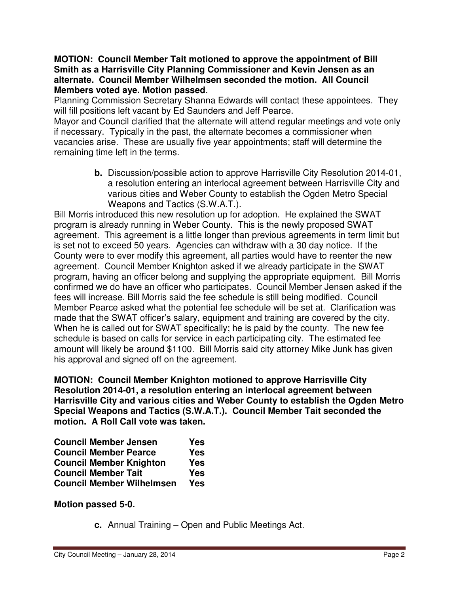#### **MOTION: Council Member Tait motioned to approve the appointment of Bill Smith as a Harrisville City Planning Commissioner and Kevin Jensen as an alternate. Council Member Wilhelmsen seconded the motion. All Council Members voted aye. Motion passed**.

Planning Commission Secretary Shanna Edwards will contact these appointees. They will fill positions left vacant by Ed Saunders and Jeff Pearce.

Mayor and Council clarified that the alternate will attend regular meetings and vote only if necessary. Typically in the past, the alternate becomes a commissioner when vacancies arise. These are usually five year appointments; staff will determine the remaining time left in the terms.

> **b.** Discussion/possible action to approve Harrisville City Resolution 2014-01, a resolution entering an interlocal agreement between Harrisville City and various cities and Weber County to establish the Ogden Metro Special Weapons and Tactics (S.W.A.T.).

Bill Morris introduced this new resolution up for adoption. He explained the SWAT program is already running in Weber County. This is the newly proposed SWAT agreement. This agreement is a little longer than previous agreements in term limit but is set not to exceed 50 years. Agencies can withdraw with a 30 day notice. If the County were to ever modify this agreement, all parties would have to reenter the new agreement. Council Member Knighton asked if we already participate in the SWAT program, having an officer belong and supplying the appropriate equipment. Bill Morris confirmed we do have an officer who participates. Council Member Jensen asked if the fees will increase. Bill Morris said the fee schedule is still being modified. Council Member Pearce asked what the potential fee schedule will be set at. Clarification was made that the SWAT officer's salary, equipment and training are covered by the city. When he is called out for SWAT specifically; he is paid by the county. The new fee schedule is based on calls for service in each participating city. The estimated fee amount will likely be around \$1100. Bill Morris said city attorney Mike Junk has given his approval and signed off on the agreement.

**MOTION: Council Member Knighton motioned to approve Harrisville City Resolution 2014-01, a resolution entering an interlocal agreement between Harrisville City and various cities and Weber County to establish the Ogden Metro Special Weapons and Tactics (S.W.A.T.). Council Member Tait seconded the motion. A Roll Call vote was taken.** 

| <b>Council Member Jensen</b>     | Yes        |
|----------------------------------|------------|
| <b>Council Member Pearce</b>     | <b>Yes</b> |
| <b>Council Member Knighton</b>   | <b>Yes</b> |
| <b>Council Member Tait</b>       | <b>Yes</b> |
| <b>Council Member Wilhelmsen</b> | <b>Yes</b> |

**Motion passed 5-0.** 

**c.** Annual Training – Open and Public Meetings Act.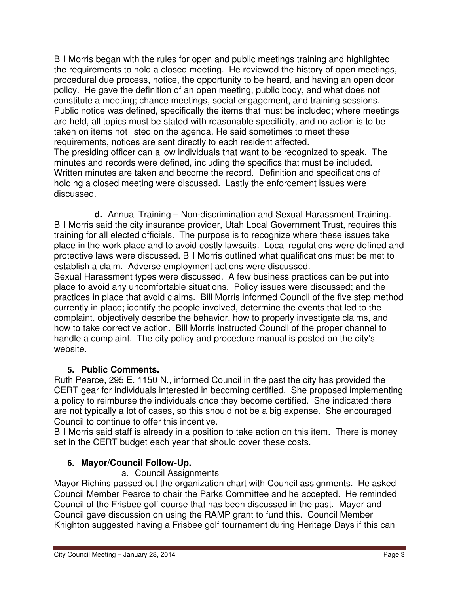Bill Morris began with the rules for open and public meetings training and highlighted the requirements to hold a closed meeting. He reviewed the history of open meetings, procedural due process, notice, the opportunity to be heard, and having an open door policy. He gave the definition of an open meeting, public body, and what does not constitute a meeting; chance meetings, social engagement, and training sessions. Public notice was defined, specifically the items that must be included; where meetings are held, all topics must be stated with reasonable specificity, and no action is to be taken on items not listed on the agenda. He said sometimes to meet these requirements, notices are sent directly to each resident affected.

The presiding officer can allow individuals that want to be recognized to speak. The minutes and records were defined, including the specifics that must be included. Written minutes are taken and become the record. Definition and specifications of holding a closed meeting were discussed. Lastly the enforcement issues were discussed.

**d.** Annual Training – Non-discrimination and Sexual Harassment Training. Bill Morris said the city insurance provider, Utah Local Government Trust, requires this training for all elected officials. The purpose is to recognize where these issues take place in the work place and to avoid costly lawsuits. Local regulations were defined and protective laws were discussed. Bill Morris outlined what qualifications must be met to establish a claim. Adverse employment actions were discussed.

Sexual Harassment types were discussed. A few business practices can be put into place to avoid any uncomfortable situations. Policy issues were discussed; and the practices in place that avoid claims. Bill Morris informed Council of the five step method currently in place; identify the people involved, determine the events that led to the complaint, objectively describe the behavior, how to properly investigate claims, and how to take corrective action. Bill Morris instructed Council of the proper channel to handle a complaint. The city policy and procedure manual is posted on the city's website.

# **5. Public Comments.**

Ruth Pearce, 295 E. 1150 N., informed Council in the past the city has provided the CERT gear for individuals interested in becoming certified. She proposed implementing a policy to reimburse the individuals once they become certified. She indicated there are not typically a lot of cases, so this should not be a big expense. She encouraged Council to continue to offer this incentive.

Bill Morris said staff is already in a position to take action on this item. There is money set in the CERT budget each year that should cover these costs.

# **6. Mayor/Council Follow-Up.**

# a. Council Assignments

Mayor Richins passed out the organization chart with Council assignments. He asked Council Member Pearce to chair the Parks Committee and he accepted. He reminded Council of the Frisbee golf course that has been discussed in the past. Mayor and Council gave discussion on using the RAMP grant to fund this. Council Member Knighton suggested having a Frisbee golf tournament during Heritage Days if this can